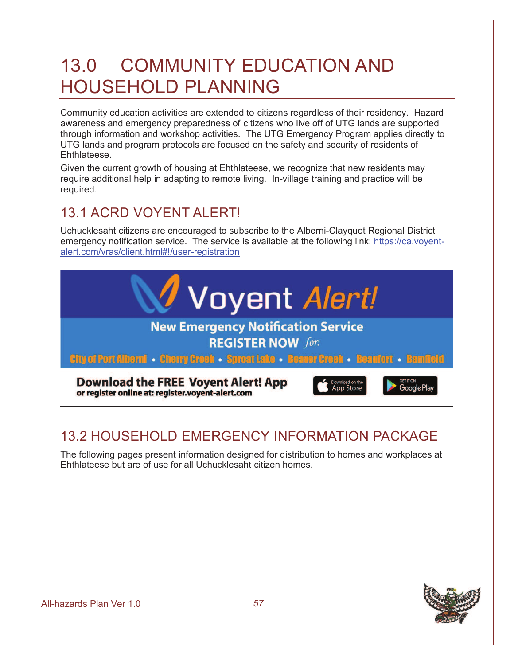## 13.0 COMMUNITY EDUCATION AND HOUSEHOLD PLANNING

Community education activities are extended to citizens regardless of their residency. Hazard awareness and emergency preparedness of citizens who live off of UTG lands are supported through information and workshop activities. The UTG Emergency Program applies directly to UTG lands and program protocols are focused on the safety and security of residents of **Ehthlateese** 

Given the current growth of housing at Ehthlateese, we recognize that new residents may require additional help in adapting to remote living. In-village training and practice will be required.

## 13.1 ACRD VOYENT ALERT!

Uchucklesaht citizens are encouraged to subscribe to the Alberni-Clayquot Regional District emergency notification service. The service is available at the following link: https://ca.voyentalert.com/vras/client.html#!/user-registration



## 13.2 HOUSEHOLD EMERGENCY INFORMATION PACKAGE

The following pages present information designed for distribution to homes and workplaces at Ehthlateese but are of use for all Uchucklesaht citizen homes.

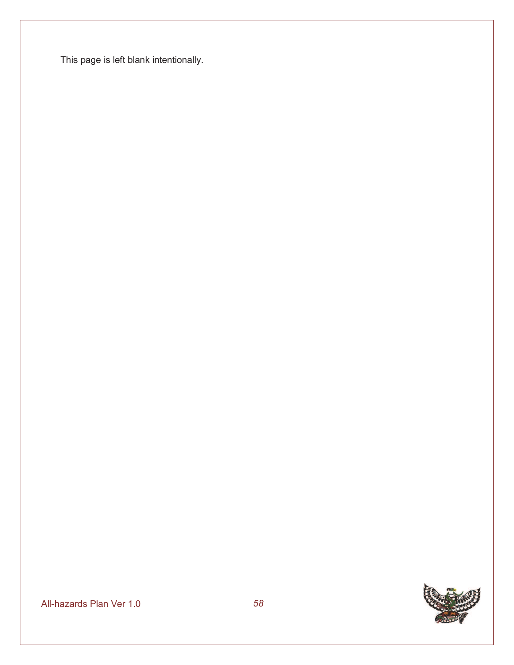This page is left blank intentionally.

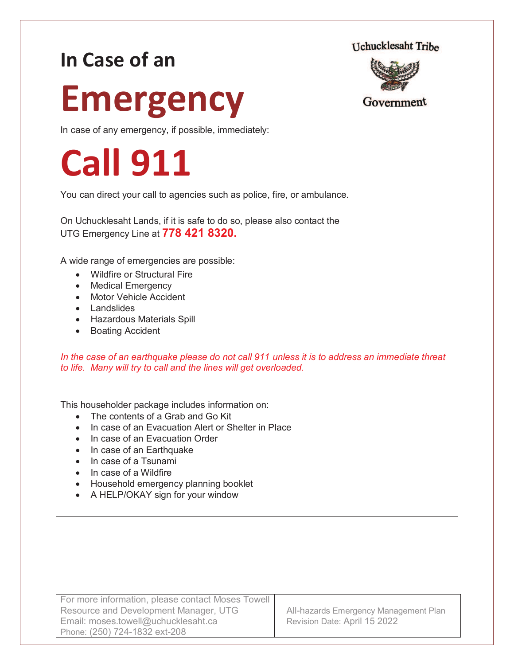## **In Case of an**

# **Emergency**

In case of any emergency, if possible, immediately:

## **Call 911**

You can direct your call to agencies such as police, fire, or ambulance.

On Uchucklesaht Lands, if it is safe to do so, please also contact the UTG Emergency Line at **778 421 8320.**

A wide range of emergencies are possible:

- · Wildfire or Structural Fire
- · Medical Emergency
- · Motor Vehicle Accident
- · Landslides
- · Hazardous Materials Spill
- · Boating Accident

### *In the case of an earthquake please do not call 911 unless it is to address an immediate threat to life. Many will try to call and the lines will get overloaded.*

This householder package includes information on:

- · The contents of a Grab and Go Kit
- · In case of an Evacuation Alert or Shelter in Place
- · In case of an Evacuation Order
- In case of an Earthquake
- · In case of a Tsunami
- · In case of a Wildfire
- · Household emergency planning booklet
- · A HELP/OKAY sign for your window

For more information, please contact Moses Towell Resource and Development Manager, UTG Email: moses.towell@uchucklesaht.ca Phone: (250) 724-1832 ext-208

All-hazards Emergency Management Plan Revision Date: April 15 2022



Government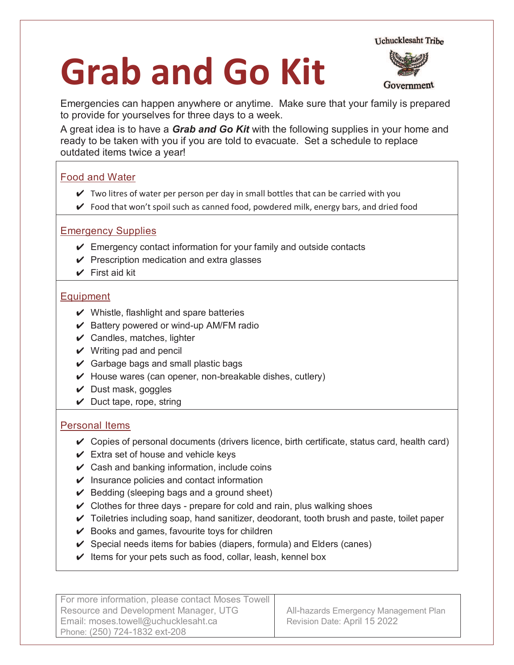# **Grab and Go Kit**



Government

Emergencies can happen anywhere or anytime. Make sure that your family is prepared to provide for yourselves for three days to a week.

A great idea is to have a *Grab and Go Kit* with the following supplies in your home and ready to be taken with you if you are told to evacuate. Set a schedule to replace outdated items twice a year!

## Food and Water

- $\checkmark$  Two litres of water per person per day in small bottles that can be carried with you
- $\checkmark$  Food that won't spoil such as canned food, powdered milk, energy bars, and dried food

## Emergency Supplies

- $\checkmark$  Emergency contact information for your family and outside contacts
- $\vee$  Prescription medication and extra glasses
- $\checkmark$  First aid kit

## **Equipment**

- $\vee$  Whistle, flashlight and spare batteries
- $\vee$  Battery powered or wind-up AM/FM radio
- $\vee$  Candles, matches, lighter
- $\vee$  Writing pad and pencil
- $\vee$  Garbage bags and small plastic bags
- $\vee$  House wares (can opener, non-breakable dishes, cutlery)
- $\vee$  Dust mask, goggles
- $\vee$  Duct tape, rope, string

## Personal Items

- $\checkmark$  Copies of personal documents (drivers licence, birth certificate, status card, health card)
- $\vee$  Extra set of house and vehicle keys
- $\vee$  Cash and banking information, include coins
- $\vee$  Insurance policies and contact information
- $\vee$  Bedding (sleeping bags and a ground sheet)
- $\vee$  Clothes for three days prepare for cold and rain, plus walking shoes
- $\checkmark$  Toiletries including soap, hand sanitizer, deodorant, tooth brush and paste, toilet paper
- $\vee$  Books and games, favourite toys for children
- $\checkmark$  Special needs items for babies (diapers, formula) and Elders (canes)
- $\vee$  Items for your pets such as food, collar, leash, kennel box

For more information, please contact Moses Towell Resource and Development Manager, UTG Email: moses.towell@uchucklesaht.ca Phone: (250) 724-1832 ext-208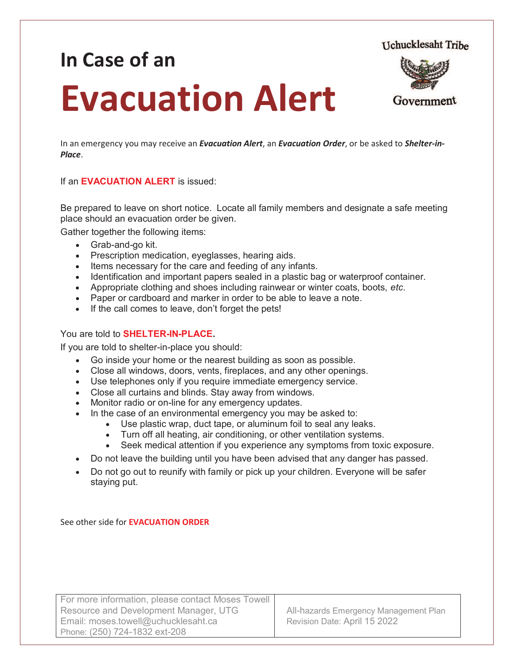## **In Case of an**

# **Evacuation Alert**

Uchucklesaht Tribe



In an emergency you may receive an *Evacuation Alert*, an *Evacuation Order*, or be asked to *Shelter-in-Place*.

If an **EVACUATION ALERT** is issued:

Be prepared to leave on short notice. Locate all family members and designate a safe meeting place should an evacuation order be given.

Gather together the following items:

- · Grab-and-go kit.
- · Prescription medication, eyeglasses, hearing aids.
- · Items necessary for the care and feeding of any infants.
- · Identification and important papers sealed in a plastic bag or waterproof container.
- · Appropriate clothing and shoes including rainwear or winter coats, boots, *etc*.
- · Paper or cardboard and marker in order to be able to leave a note.
- · If the call comes to leave, don't forget the pets!

### You are told to **SHELTER-IN-PLACE.**

If you are told to shelter-in-place you should:

- · Go inside your home or the nearest building as soon as possible.
- · Close all windows, doors, vents, fireplaces, and any other openings.
- · Use telephones only if you require immediate emergency service.
- · Close all curtains and blinds. Stay away from windows.
- · Monitor radio or on-line for any emergency updates.
- · In the case of an environmental emergency you may be asked to:
	- · Use plastic wrap, duct tape, or aluminum foil to seal any leaks.
	- · Turn off all heating, air conditioning, or other ventilation systems.
	- · Seek medical attention if you experience any symptoms from toxic exposure.
- · Do not leave the building until you have been advised that any danger has passed.
- · Do not go out to reunify with family or pick up your children. Everyone will be safer staying put.

See other side for **EVACUATION ORDER**

For more information, please contact Moses Towell Resource and Development Manager, UTG Email: moses.towell@uchucklesaht.ca Phone: (250) 724-1832 ext-208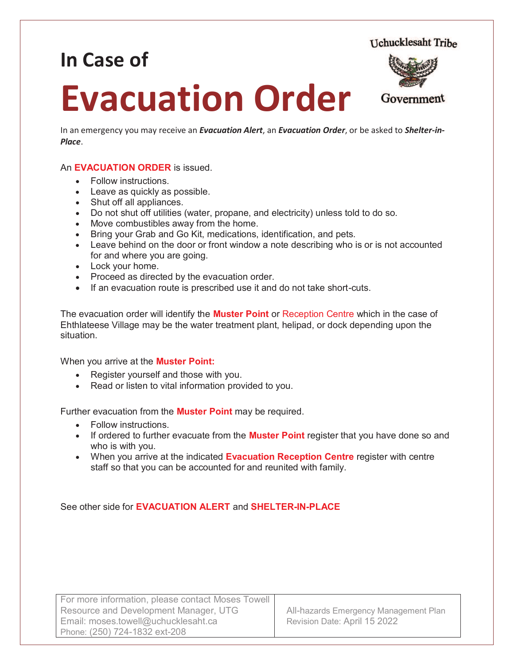## **In Case of**

# **Evacuation Order**



Government

In an emergency you may receive an *Evacuation Alert*, an *Evacuation Order*, or be asked to *Shelter-in-Place*.

### An **EVACUATION ORDER** is issued.

- · Follow instructions.
- · Leave as quickly as possible.
- · Shut off all appliances.
- · Do not shut off utilities (water, propane, and electricity) unless told to do so.
- · Move combustibles away from the home.
- Bring your Grab and Go Kit, medications, identification, and pets.
- · Leave behind on the door or front window a note describing who is or is not accounted for and where you are going.
- · Lock your home.
- · Proceed as directed by the evacuation order.
- · If an evacuation route is prescribed use it and do not take short-cuts.

The evacuation order will identify the **Muster Point** or Reception Centre which in the case of Ehthlateese Village may be the water treatment plant, helipad, or dock depending upon the situation.

When you arrive at the **Muster Point:**

- Register yourself and those with you.
- · Read or listen to vital information provided to you.

Further evacuation from the **Muster Point** may be required.

- · Follow instructions.
- · If ordered to further evacuate from the **Muster Point** register that you have done so and who is with you.
- · When you arrive at the indicated **Evacuation Reception Centre** register with centre staff so that you can be accounted for and reunited with family.

See other side for **EVACUATION ALERT** and **SHELTER-IN-PLACE**

For more information, please contact Moses Towell Resource and Development Manager, UTG Email: moses.towell@uchucklesaht.ca Phone: (250) 724-1832 ext-208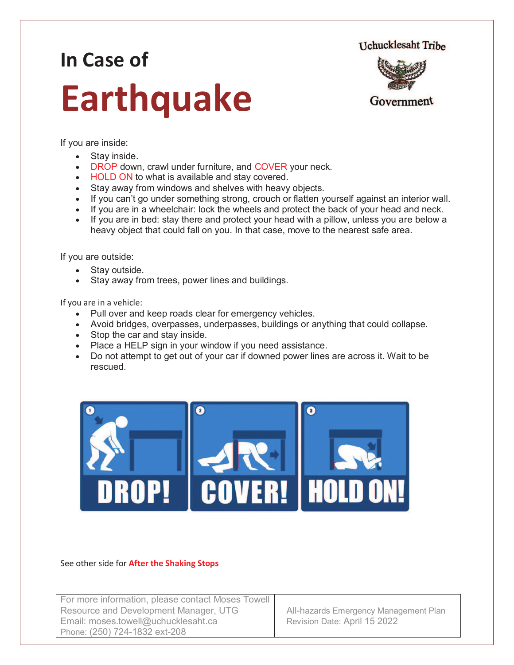## **In Case of Earthquake**



Government

If you are inside:

- Stay inside.
- DROP down, crawl under furniture, and COVER your neck.
- · HOLD ON to what is available and stay covered.
- · Stay away from windows and shelves with heavy objects.
- · If you can't go under something strong, crouch or flatten yourself against an interior wall.
- · If you are in a wheelchair: lock the wheels and protect the back of your head and neck.
- If you are in bed: stay there and protect your head with a pillow, unless you are below a heavy object that could fall on you. In that case, move to the nearest safe area.

If you are outside:

- Stay outside.
- Stay away from trees, power lines and buildings.

If you are in a vehicle:

- · Pull over and keep roads clear for emergency vehicles.
- · Avoid bridges, overpasses, underpasses, buildings or anything that could collapse.
- · Stop the car and stay inside.
- · Place a HELP sign in your window if you need assistance.
- · Do not attempt to get out of your car if downed power lines are across it. Wait to be rescued.



### See other side for **After the Shaking Stops**

For more information, please contact Moses Towell Resource and Development Manager, UTG Email: moses.towell@uchucklesaht.ca Phone: (250) 724-1832 ext-208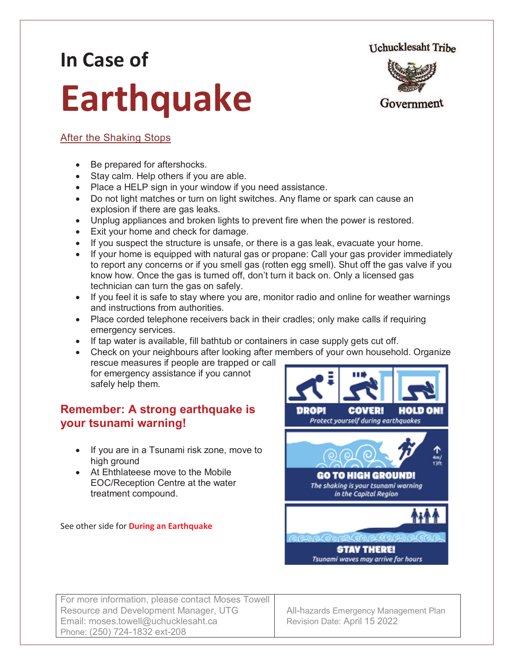## **In Case of Earthquake**



## Government

## After the Shaking Stops

- · Be prepared for aftershocks.
- · Stay calm. Help others if you are able.
- · Place a HELP sign in your window if you need assistance.
- · Do not light matches or turn on light switches. Any flame or spark can cause an explosion if there are gas leaks.
- · Unplug appliances and broken lights to prevent fire when the power is restored.
- · Exit your home and check for damage.
- If you suspect the structure is unsafe, or there is a gas leak, evacuate your home.
- If your home is equipped with natural gas or propane: Call your gas provider immediately to report any concerns or if you smell gas (rotten egg smell). Shut off the gas valve if you know how. Once the gas is turned off, don't turn it back on. Only a licensed gas technician can turn the gas on safely.
- · If you feel it is safe to stay where you are, monitor radio and online for weather warnings and instructions from authorities.
- Place corded telephone receivers back in their cradles; only make calls if requiring emergency services.
- · If tap water is available, fill bathtub or containers in case supply gets cut off.
- Check on your neighbours after looking after members of your own household. Organize rescue measures if people are trapped or call for emergency assistance if you cannot safely help them.

## **Remember: A strong earthquake is your tsunami warning!**

- If you are in a Tsunami risk zone, move to high ground
- · At Ehthlateese move to the Mobile EOC/Reception Centre at the water treatment compound.

See other side for **During an Earthquake**



For more information, please contact Moses Towell Resource and Development Manager, UTG Email: moses.towell@uchucklesaht.ca Phone: (250) 724-1832 ext-208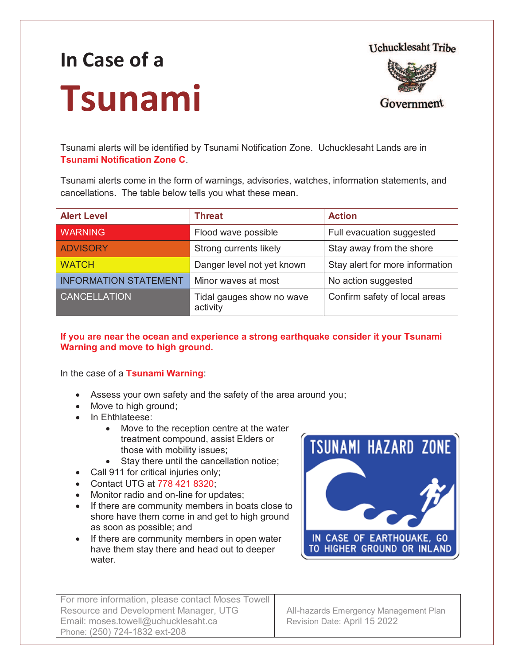## **In Case of a Tsunami**



Tsunami alerts will be identified by Tsunami Notification Zone. Uchucklesaht Lands are in **Tsunami Notification Zone C**.

Tsunami alerts come in the form of warnings, advisories, watches, information statements, and cancellations. The table below tells you what these mean.

| <b>Alert Level</b>           | <b>Threat</b>                         | <b>Action</b>                   |
|------------------------------|---------------------------------------|---------------------------------|
| <b>WARNING</b>               | Flood wave possible                   | Full evacuation suggested       |
| <b>ADVISORY</b>              | Strong currents likely                | Stay away from the shore        |
| <b>WATCH</b>                 | Danger level not yet known            | Stay alert for more information |
| <b>INFORMATION STATEMENT</b> | Minor waves at most                   | No action suggested             |
| <b>CANCELLATION</b>          | Tidal gauges show no wave<br>activity | Confirm safety of local areas   |

**If you are near the ocean and experience a strong earthquake consider it your Tsunami Warning and move to high ground.** 

In the case of a **Tsunami Warning**:

- · Assess your own safety and the safety of the area around you;
- Move to high ground;
- In Ehthlateese:
	- · Move to the reception centre at the water treatment compound, assist Elders or those with mobility issues;
	- Stay there until the cancellation notice;
- · Call 911 for critical injuries only;
- · Contact UTG at 778 421 8320;
- · Monitor radio and on-line for updates;
- · If there are community members in boats close to shore have them come in and get to high ground as soon as possible; and
- · If there are community members in open water have them stay there and head out to deeper water.



For more information, please contact Moses Towell Resource and Development Manager, UTG Email: moses.towell@uchucklesaht.ca Phone: (250) 724-1832 ext-208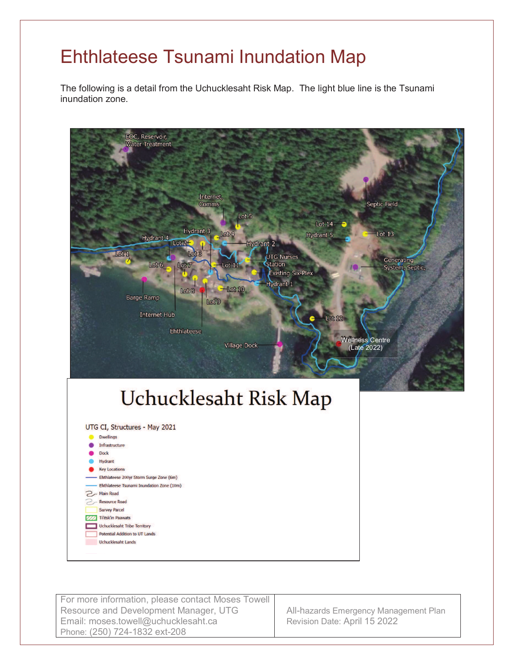## Ehthlateese Tsunami Inundation Map

The following is a detail from the Uchucklesaht Risk Map. The light blue line is the Tsunami inundation zone.



For more information, please contact Moses Towell Resource and Development Manager, UTG Email: moses.towell@uchucklesaht.ca Phone: (250) 724-1832 ext-208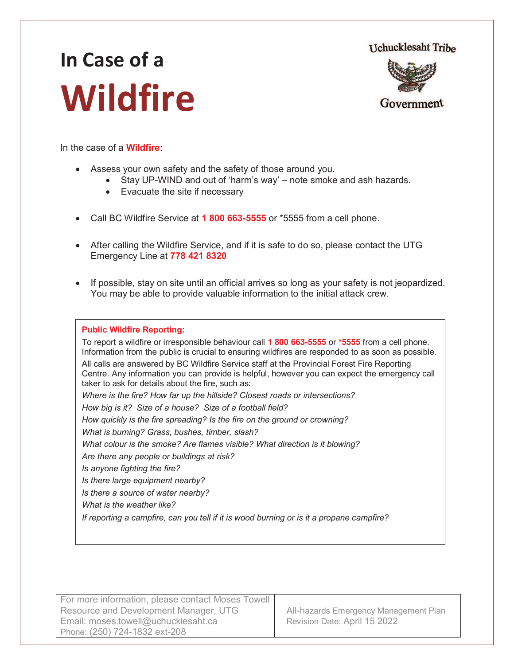## **In Case of a Wildfire**



In the case of a **Wildfire**:

- Assess your own safety and the safety of those around you.
	- Stay UP-WIND and out of 'harm's way' note smoke and ash hazards.
	- · Evacuate the site if necessary
- · Call BC Wildfire Service at **1 800 663-5555** or \*5555 from a cell phone.
- After calling the Wildfire Service, and if it is safe to do so, please contact the UTG Emergency Line at **778 421 8320**
- · If possible, stay on site until an official arrives so long as your safety is not jeopardized. You may be able to provide valuable information to the initial attack crew.

#### **Public Wildfire Reporting:**

To report a wildfire or irresponsible behaviour call **1 800 663-5555** or **\*5555** from a cell phone. Information from the public is crucial to ensuring wildfires are responded to as soon as possible. All calls are answered by BC Wildfire Service staff at the Provincial Forest Fire Reporting Centre. Any information you can provide is helpful, however you can expect the emergency call taker to ask for details about the fire, such as: *Where is the fire? How far up the hillside? Closest roads or intersections? How big is it? Size of a house? Size of a football field? How quickly is the fire spreading? Is the fire on the ground or crowning? What is burning? Grass, bushes, timber, slash? What colour is the smoke? Are flames visible? What direction is it blowing? Are there any people or buildings at risk? Is anyone fighting the fire? Is there large equipment nearby? Is there a source of water nearby? What is the weather like? If reporting a campfire, can you tell if it is wood burning or is it a propane campfire?*

For more information, please contact Moses Towell Resource and Development Manager, UTG Email: moses.towell@uchucklesaht.ca Phone: (250) 724-1832 ext-208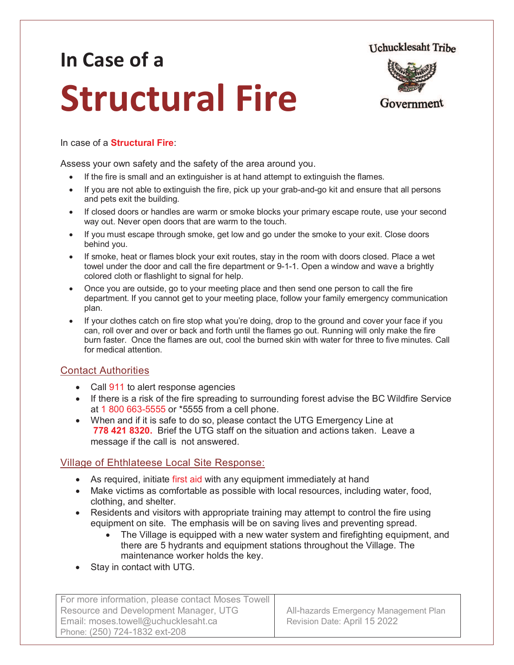## **In Case of a Structural Fire**





In case of a **Structural Fire**:

Assess your own safety and the safety of the area around you.

- If the fire is small and an extinguisher is at hand attempt to extinguish the flames.
- If you are not able to extinguish the fire, pick up your grab-and-go kit and ensure that all persons and pets exit the building.
- If closed doors or handles are warm or smoke blocks your primary escape route, use your second way out. Never open doors that are warm to the touch.
- If you must escape through smoke, get low and go under the smoke to your exit. Close doors behind you.
- If smoke, heat or flames block your exit routes, stay in the room with doors closed. Place a wet towel under the door and call the fire department or 9-1-1. Open a window and wave a brightly colored cloth or flashlight to signal for help.
- · Once you are outside, go to your meeting place and then send one person to call the fire department. If you cannot get to your meeting place, follow your family emergency communication plan.
- If your clothes catch on fire stop what you're doing, drop to the ground and cover your face if you can, roll over and over or back and forth until the flames go out. Running will only make the fire burn faster. Once the flames are out, cool the burned skin with water for three to five minutes. Call for medical attention.

## Contact Authorities

- Call 911 to alert response agencies
- · If there is a risk of the fire spreading to surrounding forest advise the BC Wildfire Service at 1 800 663-5555 or \*5555 from a cell phone.
- · When and if it is safe to do so, please contact the UTG Emergency Line at **778 421 8320.**Brief the UTG staff on the situation and actions taken. Leave a message if the call is not answered.

## Village of Ehthlateese Local Site Response:

- As required, initiate first aid with any equipment immediately at hand
- Make victims as comfortable as possible with local resources, including water, food, clothing, and shelter.
- Residents and visitors with appropriate training may attempt to control the fire using equipment on site. The emphasis will be on saving lives and preventing spread.
	- The Village is equipped with a new water system and firefighting equipment, and there are 5 hydrants and equipment stations throughout the Village. The maintenance worker holds the key.
- Stay in contact with UTG.

For more information, please contact Moses Towell Resource and Development Manager, UTG Email: moses.towell@uchucklesaht.ca Phone: (250) 724-1832 ext-208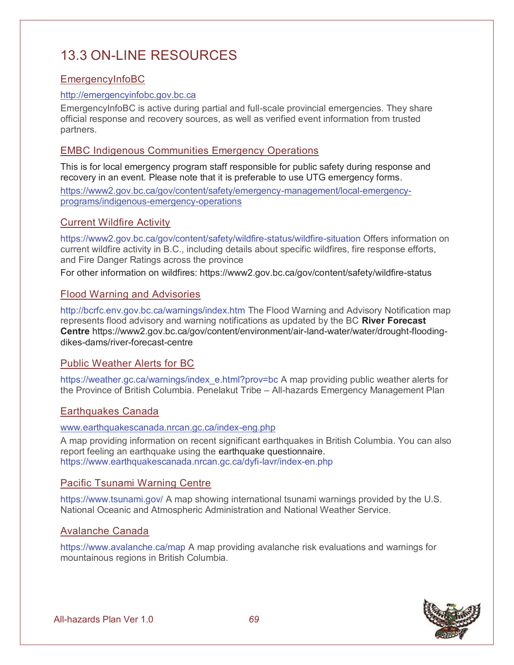## 13.3 ON-LINE RESOURCES

## EmergencyInfoBC

### http://emergencyinfobc.gov.bc.ca

EmergencyInfoBC is active during partial and full-scale provincial emergencies. They share official response and recovery sources, as well as verified event information from trusted partners.

## EMBC Indigenous Communities Emergency Operations

This is for local emergency program staff responsible for public safety during response and recovery in an event. Please note that it is preferable to use UTG emergency forms. https://www2.gov.bc.ca/gov/content/safety/emergency-management/local-emergencyprograms/indigenous-emergency-operations

## Current Wildfire Activity

https://www2.gov.bc.ca/gov/content/safety/wildfire-status/wildfire-situation Offers information on current wildfire activity in B.C., including details about specific wildfires, fire response efforts, and Fire Danger Ratings across the province

For other information on wildfires: https://www2.gov.bc.ca/gov/content/safety/wildfire-status

## Flood Warning and Advisories

http://bcrfc.env.gov.bc.ca/warnings/index.htm The Flood Warning and Advisory Notification map represents flood advisory and warning notifications as updated by the BC **River Forecast Centre** https://www2.gov.bc.ca/gov/content/environment/air-land-water/water/drought-floodingdikes-dams/river-forecast-centre

## Public Weather Alerts for BC

https://weather.gc.ca/warnings/index\_e.html?prov=bc A map providing public weather alerts for the Province of British Columbia. Penelakut Tribe – All-hazards Emergency Management Plan

### Earthquakes Canada

### www.earthquakescanada.nrcan.gc.ca/index-eng.php

A map providing information on recent significant earthquakes in British Columbia. You can also report feeling an earthquake using the earthquake questionnaire. https://www.earthquakescanada.nrcan.gc.ca/dyfi-lavr/index-en.php

### Pacific Tsunami Warning Centre

https://www.tsunami.gov/ A map showing international tsunami warnings provided by the U.S. National Oceanic and Atmospheric Administration and National Weather Service.

### Avalanche Canada

https://www.avalanche.ca/map A map providing avalanche risk evaluations and warnings for mountainous regions in British Columbia.